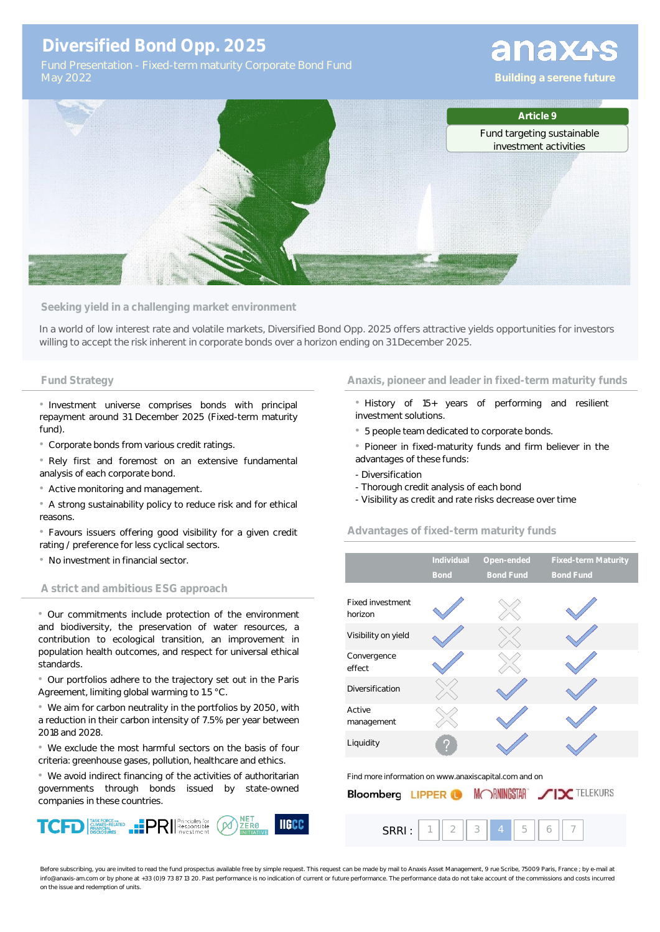# **Diversified Bond Opp. 2025**

## **Fund Strategy Anaxis, pioneer and leader in fixed-term maturity funds**

• History of 15+ years of performing and resilient investment solutions.

• 5 people team dedicated to corporate bonds.

• Pioneer in fixed-maturity funds and firm believer in the advantages of these funds:

- Diversification

SRRI :

- Thorough credit analysis of each bond
- Visibility as credit and rate risks decrease over time

## **Advantages of fixed-term maturity funds**

|                                                       | Individual<br><b>Bond</b> | Open-ended<br><b>Bond Fund</b> | <b>Fixed-term Maturity</b><br><b>Bond Fund</b> |  |  |  |
|-------------------------------------------------------|---------------------------|--------------------------------|------------------------------------------------|--|--|--|
| Fixed investment<br>horizon                           |                           |                                |                                                |  |  |  |
| Visibility on yield                                   |                           |                                |                                                |  |  |  |
| Convergence<br>effect                                 |                           |                                |                                                |  |  |  |
| Diversification                                       |                           |                                |                                                |  |  |  |
| Active<br>management                                  |                           |                                |                                                |  |  |  |
| Liquidity                                             |                           |                                |                                                |  |  |  |
| Find more information on www.anaxiscapital.com and on |                           |                                |                                                |  |  |  |

| <b>Bloomberg LIPPER O</b> | MORNINGSTAR JUX TELEKURS |
|---------------------------|--------------------------|
|                           |                          |

1 2 3 4 5 6 7

|  | ichtation - Fracu-tchnniqtum v Conoorate Donu i unu |  |
|--|-----------------------------------------------------|--|
|  |                                                     |  |
|  |                                                     |  |

**Seeking yield in a challenging market environment** In a world of low interest rate and volatile markets, Diversified Bond Opp. 2025 offers attractive yields opportunities for investors willing to accept the risk inherent in corporate bonds over a horizon ending on 31 December 2025.

• Investment universe comprises bonds with principal repayment around 31 December 2025 (Fixed-term maturity fund)

• Corporate bonds from various credit ratings.

• Rely first and foremost on an extensive fundamental analysis of each corporate bond.

• Active monitoring and management.

• A strong sustainability policy to reduce risk and for ethical reasons.

• Favours issuers offering good visibility for a given credit rating / preference for less cyclical sectors.

• No investment in financial sector.

### **A strict and ambitious ESG approach**

• Our commitments include protection of the environment and biodiversity, the preservation of water resources, a contribution to ecological transition, an improvement in population health outcomes, and respect for universal ethical standards.

• Our portfolios adhere to the trajectory set out in the Paris Agreement, limiting global warming to 1.5 °C.

• We aim for carbon neutrality in the portfolios by 2050, with a reduction in their carbon intensity of 7.5% per year between 2018 and 2028.

• We exclude the most harmful sectors on the basis of four criteria: greenhouse gases, pollution, healthcare and ethics.

• We avoid indirect financing of the activities of authoritarian governments through bonds issued by state-owned companies in these countries.



Before subscribing, you are invited to read the fund prospectus available free by simple request. This request can be made by mail to Anaxis Asset Management, 9 rue Scribe, 75009 Paris, France ; by e-mail at info@anaxis-am.com or by phone at +33 (0)9 73 87 13 20. Past performance is no indication of current or future performance. The performance data do not take account of the commissions and costs incurred on the issue and redemption of units.



# anaxas